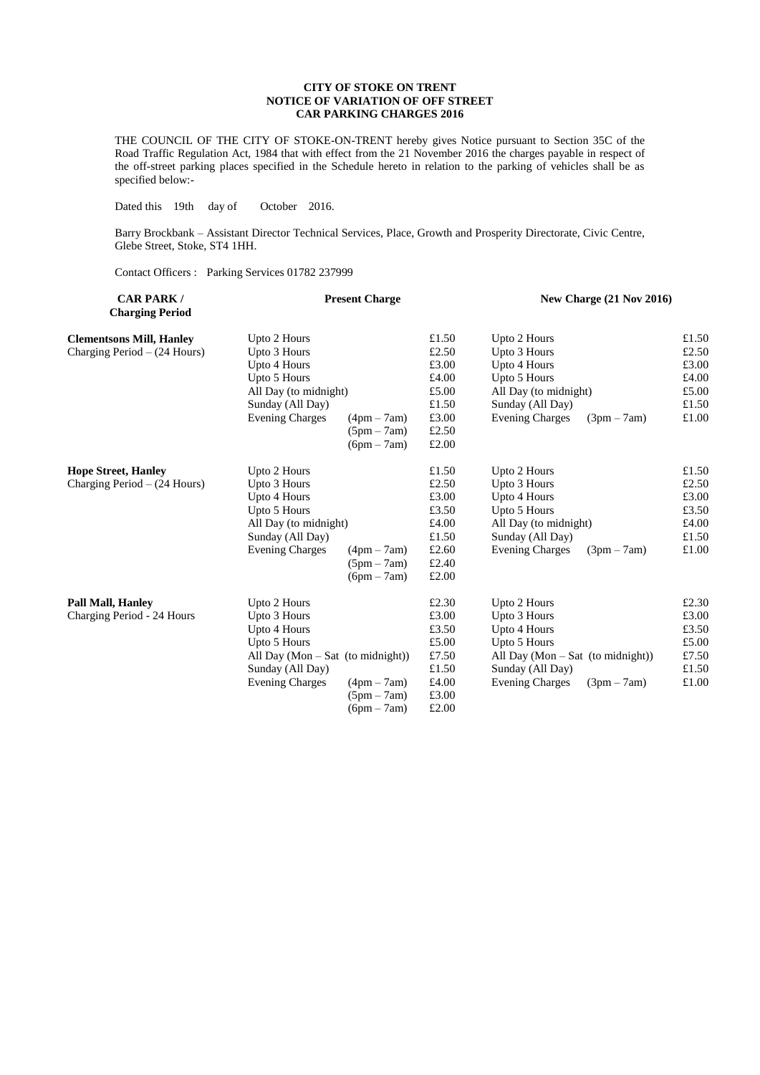## **CITY OF STOKE ON TRENT NOTICE OF VARIATION OF OFF STREET CAR PARKING CHARGES 2016**

THE COUNCIL OF THE CITY OF STOKE-ON-TRENT hereby gives Notice pursuant to Section 35C of the Road Traffic Regulation Act, 1984 that with effect from the 21 November 2016 the charges payable in respect of the off-street parking places specified in the Schedule hereto in relation to the parking of vehicles shall be as specified below:-

Dated this 19th day of October 2016.

Barry Brockbank – Assistant Director Technical Services, Place, Growth and Prosperity Directorate, Civic Centre, Glebe Street, Stoke, ST4 1HH.

Contact Officers : Parking Services 01782 237999

| <b>CAR PARK/</b><br><b>Charging Period</b> | <b>Present Charge</b>               |               |       | New Charge $(21$ Nov $2016)$          |               |  |
|--------------------------------------------|-------------------------------------|---------------|-------|---------------------------------------|---------------|--|
| <b>Clementsons Mill, Hanley</b>            | Upto 2 Hours                        |               | £1.50 | Upto 2 Hours                          | £1.50         |  |
| Charging Period $-$ (24 Hours)             | Upto 3 Hours                        |               | £2.50 | Upto 3 Hours                          | £2.50         |  |
|                                            | Upto 4 Hours                        |               | £3.00 | Upto 4 Hours                          | £3.00         |  |
|                                            | Upto 5 Hours                        |               | £4.00 | Upto 5 Hours                          | £4.00         |  |
|                                            | All Day (to midnight)               |               | £5.00 | All Day (to midnight)                 | £5.00         |  |
|                                            | Sunday (All Day)                    |               | £1.50 | Sunday (All Day)                      | £1.50         |  |
|                                            | <b>Evening Charges</b>              | $(4pm - 7am)$ | £3.00 | <b>Evening Charges</b><br>$(3pm-7am)$ | $\pounds1.00$ |  |
|                                            |                                     | $(5pm - 7am)$ | £2.50 |                                       |               |  |
|                                            |                                     | $(6pm - 7am)$ | £2.00 |                                       |               |  |
| <b>Hope Street, Hanley</b>                 | Upto 2 Hours                        |               | £1.50 | Upto 2 Hours                          | £1.50         |  |
| Charging Period $- (24$ Hours)             | Upto 3 Hours                        |               | £2.50 | Upto 3 Hours                          | £2.50         |  |
|                                            | Upto 4 Hours                        |               | £3.00 | Upto 4 Hours                          | £3.00         |  |
|                                            | Upto 5 Hours                        |               | £3.50 | Upto 5 Hours                          | £3.50         |  |
|                                            | All Day (to midnight)               |               | £4.00 | All Day (to midnight)                 | £4.00         |  |
|                                            | Sunday (All Day)                    |               | £1.50 | Sunday (All Day)                      | £1.50         |  |
|                                            | <b>Evening Charges</b>              | $(4pm - 7am)$ | £2.60 | <b>Evening Charges</b><br>$(3pm-7am)$ | £1.00         |  |
|                                            |                                     | $(5pm - 7am)$ | £2.40 |                                       |               |  |
|                                            |                                     | $(6pm - 7am)$ | £2.00 |                                       |               |  |
| <b>Pall Mall, Hanley</b>                   | Upto 2 Hours                        |               | £2.30 | Upto 2 Hours                          | £2.30         |  |
| Charging Period - 24 Hours                 | Upto 3 Hours                        |               | £3.00 | Upto 3 Hours                          | £3.00         |  |
|                                            | Upto 4 Hours                        |               | £3.50 | Upto 4 Hours                          | £3.50         |  |
|                                            | Upto 5 Hours                        |               | £5.00 | Upto 5 Hours                          | £5.00         |  |
|                                            | All Day $(Mon - Sat$ (to midnight)) |               | £7.50 | All Day $(Mon - Sat$ (to midnight))   | £7.50         |  |
|                                            | Sunday (All Day)                    |               | £1.50 | Sunday (All Day)                      | £1.50         |  |
|                                            | <b>Evening Charges</b>              | $(4pm - 7am)$ | £4.00 | <b>Evening Charges</b><br>$(3pm-7am)$ | £1.00         |  |
|                                            |                                     | $(5pm - 7am)$ | £3.00 |                                       |               |  |
|                                            |                                     | $(6pm - 7am)$ | £2.00 |                                       |               |  |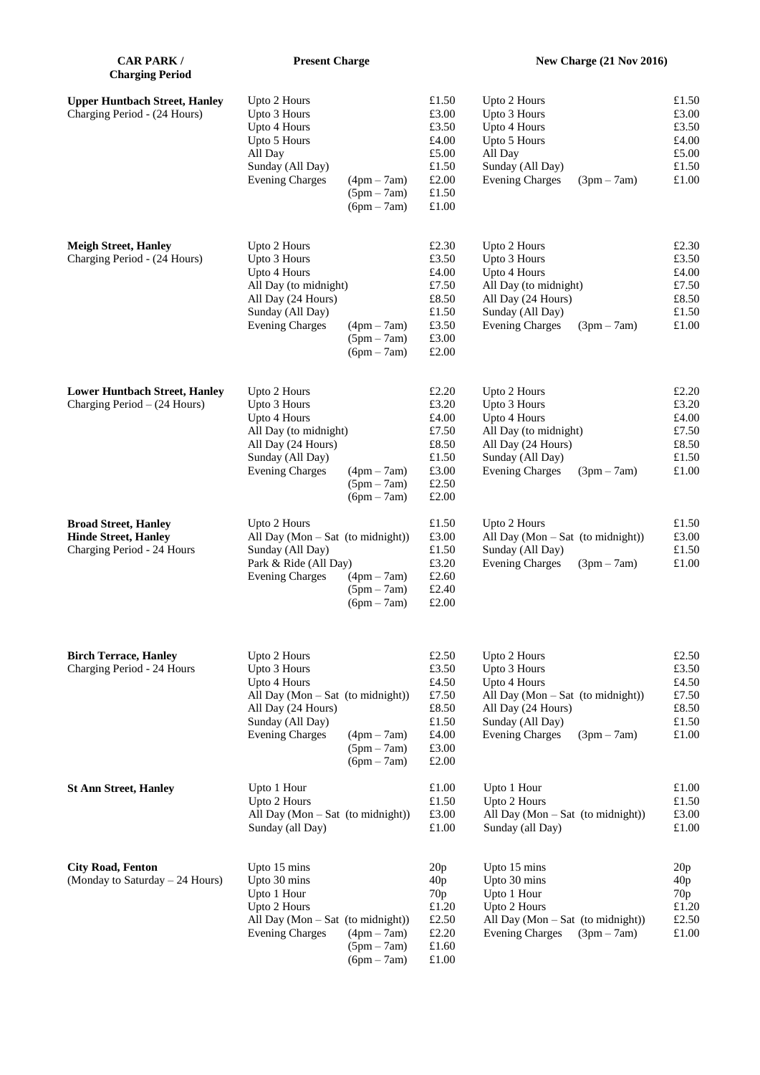| <b>CAR PARK /</b><br><b>Charging Period</b>                                              | <b>Present Charge</b>                                                                                                                                                                                    |                                                                               | New Charge (21 Nov 2016)                                                                                                                                                 |                                                             |  |
|------------------------------------------------------------------------------------------|----------------------------------------------------------------------------------------------------------------------------------------------------------------------------------------------------------|-------------------------------------------------------------------------------|--------------------------------------------------------------------------------------------------------------------------------------------------------------------------|-------------------------------------------------------------|--|
| <b>Upper Huntbach Street, Hanley</b><br>Charging Period - (24 Hours)                     | Upto 2 Hours<br>Upto 3 Hours<br>Upto 4 Hours<br>Upto 5 Hours<br>All Day<br>Sunday (All Day)<br><b>Evening Charges</b><br>$(4pm - 7am)$<br>$(5pm - 7am)$<br>$(6pm - 7am)$                                 | £1.50<br>£3.00<br>£3.50<br>£4.00<br>£5.00<br>£1.50<br>£2.00<br>£1.50<br>£1.00 | Upto 2 Hours<br>Upto 3 Hours<br>Upto 4 Hours<br>Upto 5 Hours<br>All Day<br>Sunday (All Day)<br><b>Evening Charges</b><br>$(3pm - 7am)$                                   | £1.50<br>£3.00<br>£3.50<br>£4.00<br>£5.00<br>£1.50<br>£1.00 |  |
| <b>Meigh Street, Hanley</b><br>Charging Period - (24 Hours)                              | Upto 2 Hours<br>Upto 3 Hours<br>Upto 4 Hours<br>All Day (to midnight)<br>All Day (24 Hours)<br>Sunday (All Day)<br><b>Evening Charges</b><br>$(4pm - 7am)$<br>$(5pm - 7am)$<br>$(6pm - 7am)$             | £2.30<br>£3.50<br>£4.00<br>£7.50<br>£8.50<br>£1.50<br>£3.50<br>£3.00<br>£2.00 | Upto 2 Hours<br>Upto 3 Hours<br>Upto 4 Hours<br>All Day (to midnight)<br>All Day (24 Hours)<br>Sunday (All Day)<br><b>Evening Charges</b><br>$(3pm - 7am)$               | £2.30<br>£3.50<br>£4.00<br>£7.50<br>£8.50<br>£1.50<br>£1.00 |  |
| <b>Lower Huntbach Street, Hanley</b><br>Charging Period $-$ (24 Hours)                   | Upto 2 Hours<br>Upto 3 Hours<br>Upto 4 Hours<br>All Day (to midnight)<br>All Day (24 Hours)<br>Sunday (All Day)<br><b>Evening Charges</b><br>$(4pm - 7am)$<br>$(5pm - 7am)$<br>$(6pm - 7am)$             | £2.20<br>£3.20<br>£4.00<br>£7.50<br>£8.50<br>£1.50<br>£3.00<br>£2.50<br>£2.00 | Upto 2 Hours<br>Upto 3 Hours<br>Upto 4 Hours<br>All Day (to midnight)<br>All Day (24 Hours)<br>Sunday (All Day)<br><b>Evening Charges</b><br>$(3pm - 7am)$               | £2.20<br>£3.20<br>£4.00<br>£7.50<br>£8.50<br>£1.50<br>£1.00 |  |
| <b>Broad Street, Hanley</b><br><b>Hinde Street, Hanley</b><br>Charging Period - 24 Hours | Upto 2 Hours<br>All Day (Mon - Sat (to midnight))<br>Sunday (All Day)<br>Park & Ride (All Day)<br><b>Evening Charges</b><br>$(4pm - 7am)$<br>$(5pm - 7am)$<br>$(6pm - 7am)$                              | £1.50<br>£3.00<br>$\pounds1.50$<br>£3.20<br>£2.60<br>£2.40<br>£2.00           | Upto 2 Hours<br>All Day (Mon - Sat (to midnight))<br>Sunday (All Day)<br><b>Evening Charges</b><br>$(3pm - 7am)$                                                         | £1.50<br>£3.00<br>£1.50<br>£1.00                            |  |
| <b>Birch Terrace, Hanley</b><br>Charging Period - 24 Hours                               | Upto 2 Hours<br>Upto 3 Hours<br>Upto 4 Hours<br>All Day (Mon - Sat (to midnight))<br>All Day (24 Hours)<br>Sunday (All Day)<br><b>Evening Charges</b><br>$(4pm - 7am)$<br>$(5pm - 7am)$<br>$(6pm - 7am)$ | £2.50<br>£3.50<br>£4.50<br>£7.50<br>£8.50<br>£1.50<br>£4.00<br>£3.00<br>£2.00 | Upto 2 Hours<br>Upto 3 Hours<br>Upto 4 Hours<br>All Day (Mon $-$ Sat (to midnight))<br>All Day (24 Hours)<br>Sunday (All Day)<br><b>Evening Charges</b><br>$(3pm - 7am)$ | £2.50<br>£3.50<br>£4.50<br>£7.50<br>£8.50<br>£1.50<br>£1.00 |  |
| <b>St Ann Street, Hanley</b>                                                             | Upto 1 Hour<br>Upto 2 Hours<br>All Day $(Mon-Sat$ (to midnight))<br>Sunday (all Day)                                                                                                                     | £1.00<br>£1.50<br>£3.00<br>£1.00                                              | Upto 1 Hour<br>Upto 2 Hours<br>All Day $(Mon-Sat$ (to midnight))<br>Sunday (all Day)                                                                                     | £1.00<br>£1.50<br>£3.00<br>£1.00                            |  |
| <b>City Road, Fenton</b><br>(Monday to Saturday - 24 Hours)                              | Upto 15 mins<br>Upto 30 mins<br>Upto 1 Hour<br>Upto 2 Hours<br>All Day (Mon - Sat (to midnight))<br><b>Evening Charges</b><br>$(4pm - 7am)$<br>$(5pm - 7am)$<br>$(6pm - 7am)$                            | 20p<br>40p<br>70 <sub>p</sub><br>£1.20<br>£2.50<br>£2.20<br>£1.60<br>£1.00    | Upto 15 mins<br>Upto 30 mins<br>Upto 1 Hour<br>Upto 2 Hours<br>All Day $(Mon-Sat$ (to midnight))<br><b>Evening Charges</b><br>$(3pm - 7am)$                              | 20p<br>40p<br>70 <sub>p</sub><br>£1.20<br>£2.50<br>£1.00    |  |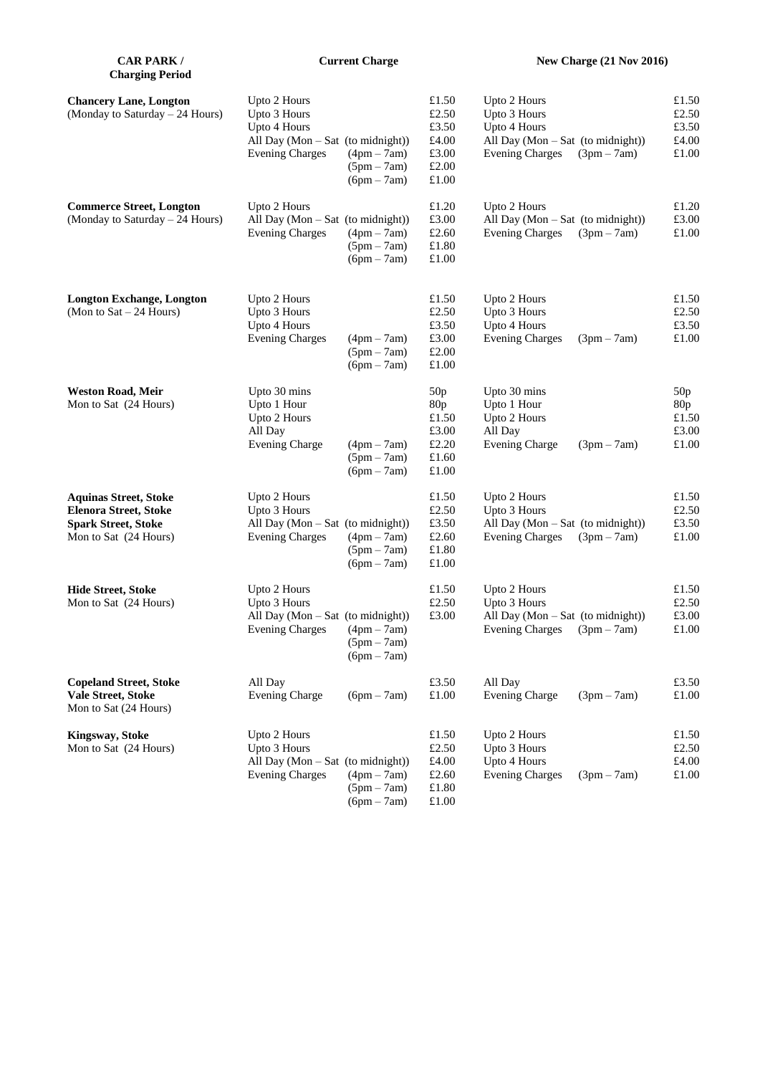| <b>CAR PARK /</b><br><b>Charging Period</b>                                                                         | <b>Current Charge</b>                                                                                       |                                                 |                                                                     | <b>New Charge (21 Nov 2016)</b>                                                                             |               |                                                   |
|---------------------------------------------------------------------------------------------------------------------|-------------------------------------------------------------------------------------------------------------|-------------------------------------------------|---------------------------------------------------------------------|-------------------------------------------------------------------------------------------------------------|---------------|---------------------------------------------------|
| <b>Chancery Lane, Longton</b><br>(Monday to Saturday - 24 Hours)                                                    | Upto 2 Hours<br>Upto 3 Hours<br>Upto 4 Hours<br>All Day (Mon - Sat (to midnight))<br><b>Evening Charges</b> | $(4pm - 7am)$<br>$(5pm - 7am)$<br>$(6pm - 7am)$ | £1.50<br>£2.50<br>£3.50<br>£4.00<br>£3.00<br>£2.00<br>£1.00         | Upto 2 Hours<br>Upto 3 Hours<br>Upto 4 Hours<br>All Day $(Mon-Sat$ (to midnight))<br><b>Evening Charges</b> | $(3pm-7am)$   | $\pounds1.50$<br>£2.50<br>£3.50<br>£4.00<br>£1.00 |
| <b>Commerce Street, Longton</b><br>(Monday to Saturday – 24 Hours)                                                  | Upto 2 Hours<br>All Day $(Mon - Sat$ (to midnight))<br><b>Evening Charges</b>                               | $(4pm - 7am)$<br>$(5pm - 7am)$<br>$(6pm - 7am)$ | £1.20<br>£3.00<br>£2.60<br>£1.80<br>£1.00                           | Upto 2 Hours<br>All Day (Mon $-$ Sat (to midnight))<br><b>Evening Charges</b>                               | $(3pm-7am)$   | £1.20<br>£3.00<br>£1.00                           |
| <b>Longton Exchange, Longton</b><br>(Mon to $Sat - 24$ Hours)                                                       | Upto 2 Hours<br>Upto 3 Hours<br>Upto 4 Hours<br><b>Evening Charges</b>                                      | $(4pm - 7am)$<br>$(5pm - 7am)$<br>$(6pm - 7am)$ | £1.50<br>£2.50<br>£3.50<br>£3.00<br>£2.00<br>£1.00                  | Upto 2 Hours<br>Upto 3 Hours<br>Upto 4 Hours<br><b>Evening Charges</b>                                      | $(3pm - 7am)$ | $\pounds1.50$<br>£2.50<br>£3.50<br>£1.00          |
| <b>Weston Road, Meir</b><br>Mon to Sat (24 Hours)                                                                   | Upto 30 mins<br>Upto 1 Hour<br>Upto 2 Hours<br>All Day<br><b>Evening Charge</b>                             | $(4pm - 7am)$<br>$(5pm - 7am)$<br>$(6pm - 7am)$ | 50p<br>80 <sub>p</sub><br>£1.50<br>£3.00<br>£2.20<br>£1.60<br>£1.00 | Upto 30 mins<br>Upto 1 Hour<br>Upto 2 Hours<br>All Day<br><b>Evening Charge</b>                             | $(3pm-7am)$   | 50p<br>80p<br>£1.50<br>£3.00<br>£1.00             |
| <b>Aquinas Street, Stoke</b><br><b>Elenora Street, Stoke</b><br><b>Spark Street, Stoke</b><br>Mon to Sat (24 Hours) | Upto 2 Hours<br>Upto 3 Hours<br>All Day (Mon - Sat (to midnight))<br><b>Evening Charges</b>                 | $(4pm - 7am)$<br>$(5pm - 7am)$<br>$(6pm - 7am)$ | £1.50<br>£2.50<br>£3.50<br>£2.60<br>£1.80<br>£1.00                  | Upto 2 Hours<br>Upto 3 Hours<br>All Day $(Mon-Sat$ (to midnight))<br><b>Evening Charges</b>                 | $(3pm-7am)$   | £1.50<br>£2.50<br>£3.50<br>£1.00                  |
| <b>Hide Street, Stoke</b><br>Mon to Sat (24 Hours)                                                                  | Upto 2 Hours<br>Upto 3 Hours<br>All Day $(Mon-Sat$ (to midnight))<br>Evening Charges $(4pm - 7am)$          | $(5pm - 7am)$<br>$(6pm - 7am)$                  | £1.50<br>£2.50<br>£3.00                                             | Upto 2 Hours<br>Upto 3 Hours<br>All Day $(Mon-Sat$ (to midnight))<br>Evening Charges $(3pm - 7am)$          |               | $\pounds1.50$<br>£2.50<br>£3.00<br>$\pounds1.00$  |
| <b>Copeland Street, Stoke</b><br>Vale Street, Stoke<br>Mon to Sat (24 Hours)                                        | All Day<br><b>Evening Charge</b>                                                                            | $(6pm - 7am)$                                   | £3.50<br>£1.00                                                      | All Day<br><b>Evening Charge</b>                                                                            | $(3pm - 7am)$ | £3.50<br>£1.00                                    |
| <b>Kingsway, Stoke</b><br>Mon to Sat (24 Hours)                                                                     | Upto 2 Hours<br>Upto 3 Hours<br>All Day (Mon - Sat (to midnight))<br><b>Evening Charges</b>                 | $(4pm - 7am)$<br>$(5pm - 7am)$<br>$(6pm - 7am)$ | £1.50<br>£2.50<br>£4.00<br>£2.60<br>£1.80<br>£1.00                  | Upto 2 Hours<br>Upto 3 Hours<br>Upto 4 Hours<br><b>Evening Charges</b>                                      | $(3pm - 7am)$ | £1.50<br>£2.50<br>£4.00<br>£1.00                  |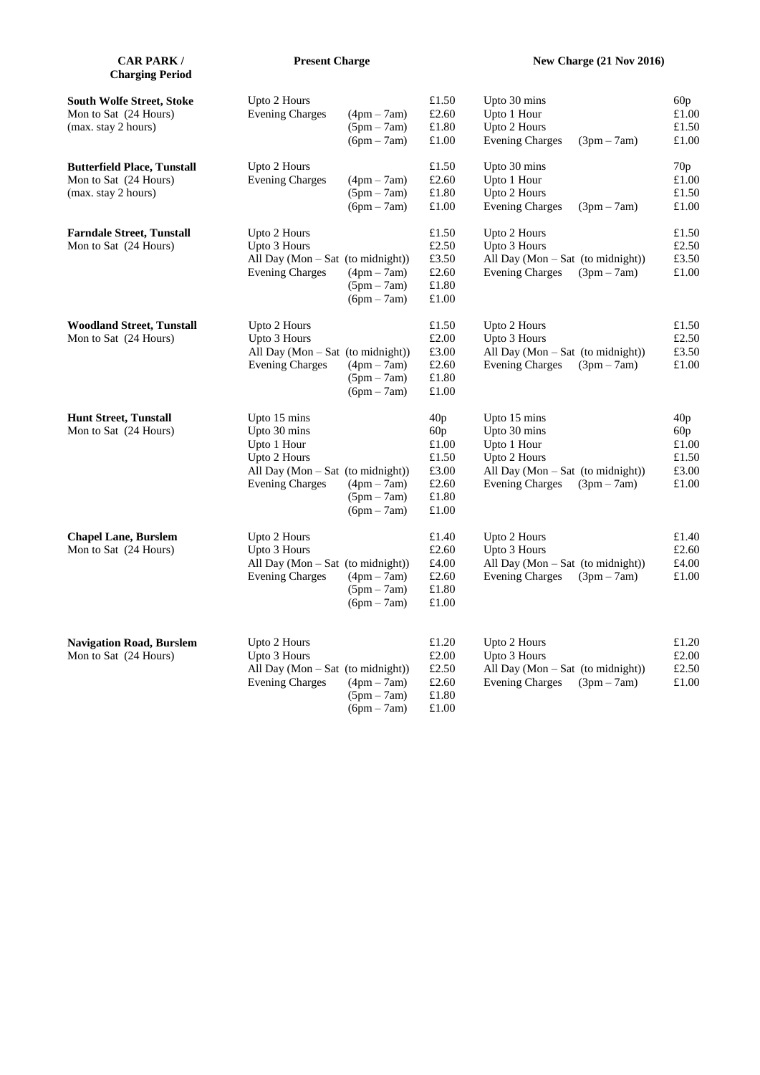| <b>CAR PARK /</b><br><b>Charging Period</b>                                        | <b>Present Charge</b>                                                                                                                                                           |                                                                            | <b>New Charge (21 Nov 2016)</b>                                                                                                             |                                                |  |
|------------------------------------------------------------------------------------|---------------------------------------------------------------------------------------------------------------------------------------------------------------------------------|----------------------------------------------------------------------------|---------------------------------------------------------------------------------------------------------------------------------------------|------------------------------------------------|--|
| <b>South Wolfe Street, Stoke</b><br>Mon to Sat (24 Hours)<br>(max. stay 2 hours)   | Upto 2 Hours<br><b>Evening Charges</b><br>$(4pm - 7am)$<br>$(5pm - 7am)$<br>$(6pm - 7am)$                                                                                       | £1.50<br>£2.60<br>£1.80<br>£1.00                                           | Upto 30 mins<br>Upto 1 Hour<br>Upto 2 Hours<br><b>Evening Charges</b><br>$(3pm - 7am)$                                                      | 60p<br>£1.00<br>£1.50<br>£1.00                 |  |
| <b>Butterfield Place, Tunstall</b><br>Mon to Sat (24 Hours)<br>(max. stay 2 hours) | Upto 2 Hours<br><b>Evening Charges</b><br>$(4pm - 7am)$<br>$(5pm - 7am)$<br>$(6pm - 7am)$                                                                                       | £1.50<br>£2.60<br>£1.80<br>$\pounds1.00$                                   | Upto 30 mins<br>Upto 1 Hour<br>Upto 2 Hours<br><b>Evening Charges</b><br>$(3pm-7am)$                                                        | 70p<br>£1.00<br>£1.50<br>£1.00                 |  |
| <b>Farndale Street, Tunstall</b><br>Mon to Sat (24 Hours)                          | Upto 2 Hours<br>Upto 3 Hours<br>All Day (Mon - Sat (to midnight))<br><b>Evening Charges</b><br>$(4pm - 7am)$<br>$(5pm - 7am)$<br>$(6pm - 7am)$                                  | £1.50<br>£2.50<br>£3.50<br>£2.60<br>$\pounds1.80$<br>£1.00                 | Upto 2 Hours<br>Upto 3 Hours<br>All Day (Mon - Sat (to midnight))<br><b>Evening Charges</b><br>$(3pm - 7am)$                                | £1.50<br>£2.50<br>£3.50<br>£1.00               |  |
| <b>Woodland Street, Tunstall</b><br>Mon to Sat (24 Hours)                          | Upto 2 Hours<br>Upto 3 Hours<br>All Day (Mon - Sat (to midnight))<br><b>Evening Charges</b><br>$(4pm - 7am)$<br>$(5pm - 7am)$<br>$(6pm - 7am)$                                  | £1.50<br>$\pounds2.00$<br>£3.00<br>$\pounds2.60$<br>$\pounds1.80$<br>£1.00 | Upto 2 Hours<br>Upto 3 Hours<br>All Day (Mon - Sat (to midnight))<br><b>Evening Charges</b><br>$(3pm-7am)$                                  | £1.50<br>£2.50<br>£3.50<br>£1.00               |  |
| <b>Hunt Street, Tunstall</b><br>Mon to Sat (24 Hours)                              | Upto 15 mins<br>Upto 30 mins<br>Upto 1 Hour<br>Upto 2 Hours<br>All Day $(Mon - Sat$ (to midnight))<br><b>Evening Charges</b><br>$(4pm - 7am)$<br>$(5pm - 7am)$<br>$(6pm - 7am)$ | 40p<br>60p<br>£1.00<br>£1.50<br>£3.00<br>$\pounds2.60$<br>£1.80<br>£1.00   | Upto 15 mins<br>Upto 30 mins<br>Upto 1 Hour<br>Upto 2 Hours<br>All Day $(Mon-Sat$ (to midnight))<br><b>Evening Charges</b><br>$(3pm - 7am)$ | 40p<br>60p<br>£1.00<br>£1.50<br>£3.00<br>£1.00 |  |
| <b>Chapel Lane, Burslem</b><br>Mon to Sat (24 Hours)                               | Upto 2 Hours<br>Upto 3 Hours<br>All Day (Mon - Sat (to midnight))<br><b>Evening Charges</b><br>$(4pm - 7am)$<br>$(5pm - 7am)$<br>$(6pm - 7am)$                                  | £1.40<br>$\pounds2.60$<br>£4.00<br>$\pounds2.60$<br>£1.80<br>£1.00         | Upto 2 Hours<br>Upto 3 Hours<br>All Day (Mon - Sat (to midnight))<br><b>Evening Charges</b><br>$(3pm-7am)$                                  | £1.40<br>£2.60<br>£4.00<br>£1.00               |  |
| <b>Navigation Road, Burslem</b><br>Mon to Sat (24 Hours)                           | Upto 2 Hours<br>Upto 3 Hours<br>All Day (Mon - Sat (to midnight))<br><b>Evening Charges</b><br>$(4pm - 7am)$<br>$(5pm - 7am)$<br>$(6pm - 7am)$                                  | £1.20<br>£2.00<br>£2.50<br>£2.60<br>£1.80<br>£1.00                         | Upto 2 Hours<br>Upto 3 Hours<br>All Day (Mon - Sat (to midnight))<br><b>Evening Charges</b><br>$(3pm - 7am)$                                | £1.20<br>£2.00<br>£2.50<br>£1.00               |  |